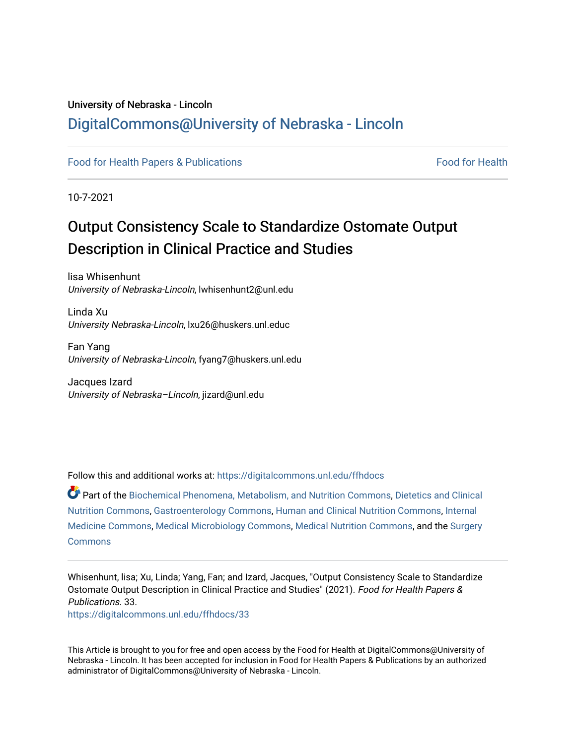## University of Nebraska - Lincoln [DigitalCommons@University of Nebraska - Lincoln](https://digitalcommons.unl.edu/)

[Food for Health Papers & Publications](https://digitalcommons.unl.edu/ffhdocs) Food for Health

10-7-2021

# Output Consistency Scale to Standardize Ostomate Output Description in Clinical Practice and Studies

lisa Whisenhunt University of Nebraska-Lincoln, lwhisenhunt2@unl.edu

Linda Xu University Nebraska-Lincoln, lxu26@huskers.unl.educ

Fan Yang University of Nebraska-Lincoln, fyang7@huskers.unl.edu

Jacques Izard University of Nebraska-Lincoln, jizard@unl.edu

Follow this and additional works at: [https://digitalcommons.unl.edu/ffhdocs](https://digitalcommons.unl.edu/ffhdocs?utm_source=digitalcommons.unl.edu%2Fffhdocs%2F33&utm_medium=PDF&utm_campaign=PDFCoverPages) 

Part of the [Biochemical Phenomena, Metabolism, and Nutrition Commons,](http://network.bepress.com/hgg/discipline/1012?utm_source=digitalcommons.unl.edu%2Fffhdocs%2F33&utm_medium=PDF&utm_campaign=PDFCoverPages) [Dietetics and Clinical](http://network.bepress.com/hgg/discipline/662?utm_source=digitalcommons.unl.edu%2Fffhdocs%2F33&utm_medium=PDF&utm_campaign=PDFCoverPages)  [Nutrition Commons](http://network.bepress.com/hgg/discipline/662?utm_source=digitalcommons.unl.edu%2Fffhdocs%2F33&utm_medium=PDF&utm_campaign=PDFCoverPages), [Gastroenterology Commons,](http://network.bepress.com/hgg/discipline/687?utm_source=digitalcommons.unl.edu%2Fffhdocs%2F33&utm_medium=PDF&utm_campaign=PDFCoverPages) [Human and Clinical Nutrition Commons](http://network.bepress.com/hgg/discipline/97?utm_source=digitalcommons.unl.edu%2Fffhdocs%2F33&utm_medium=PDF&utm_campaign=PDFCoverPages), [Internal](http://network.bepress.com/hgg/discipline/1356?utm_source=digitalcommons.unl.edu%2Fffhdocs%2F33&utm_medium=PDF&utm_campaign=PDFCoverPages) [Medicine Commons](http://network.bepress.com/hgg/discipline/1356?utm_source=digitalcommons.unl.edu%2Fffhdocs%2F33&utm_medium=PDF&utm_campaign=PDFCoverPages), [Medical Microbiology Commons](http://network.bepress.com/hgg/discipline/672?utm_source=digitalcommons.unl.edu%2Fffhdocs%2F33&utm_medium=PDF&utm_campaign=PDFCoverPages), [Medical Nutrition Commons,](http://network.bepress.com/hgg/discipline/675?utm_source=digitalcommons.unl.edu%2Fffhdocs%2F33&utm_medium=PDF&utm_campaign=PDFCoverPages) and the [Surgery](http://network.bepress.com/hgg/discipline/706?utm_source=digitalcommons.unl.edu%2Fffhdocs%2F33&utm_medium=PDF&utm_campaign=PDFCoverPages)  **[Commons](http://network.bepress.com/hgg/discipline/706?utm_source=digitalcommons.unl.edu%2Fffhdocs%2F33&utm_medium=PDF&utm_campaign=PDFCoverPages)** 

Whisenhunt, lisa; Xu, Linda; Yang, Fan; and Izard, Jacques, "Output Consistency Scale to Standardize Ostomate Output Description in Clinical Practice and Studies" (2021). Food for Health Papers & Publications. 33.

[https://digitalcommons.unl.edu/ffhdocs/33](https://digitalcommons.unl.edu/ffhdocs/33?utm_source=digitalcommons.unl.edu%2Fffhdocs%2F33&utm_medium=PDF&utm_campaign=PDFCoverPages)

This Article is brought to you for free and open access by the Food for Health at DigitalCommons@University of Nebraska - Lincoln. It has been accepted for inclusion in Food for Health Papers & Publications by an authorized administrator of DigitalCommons@University of Nebraska - Lincoln.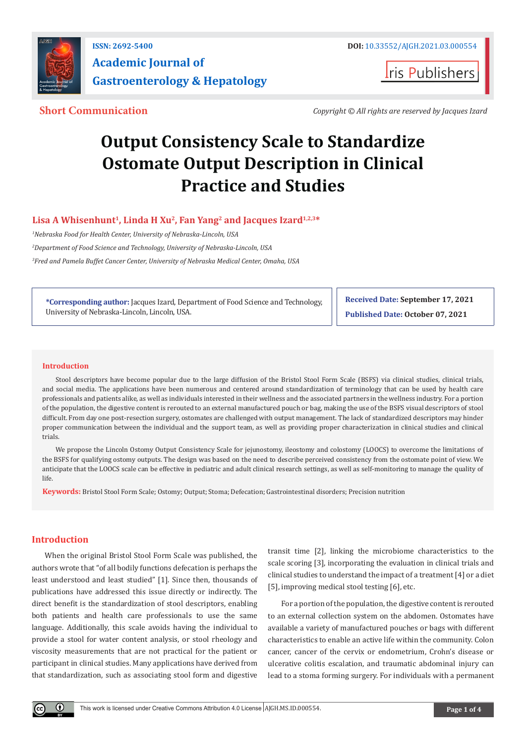

**Iris Publishers** 

**Short Communication** *Copyright © All rights are reserved by Jacques Izard*

# **Output Consistency Scale to Standardize Ostomate Output Description in Clinical Practice and Studies**

### Lisa A Whisenhunt<sup>1</sup>, Linda H Xu<sup>2</sup>, Fan Yang<sup>2</sup> and Jacques Izard<sup>1,2,3\*</sup>

*1 Nebraska Food for Health Center, University of Nebraska-Lincoln, USA*

*2 Department of Food Science and Technology, University of Nebraska-Lincoln, USA*

*3 Fred and Pamela Buffet Cancer Center, University of Nebraska Medical Center, Omaha, USA*

**\*Corresponding author:** Jacques Izard, Department of Food Science and Technology, University of Nebraska-Lincoln, Lincoln, USA.

**Received Date: September 17, 2021 Published Date: October 07, 2021**

#### **Introduction**

Stool descriptors have become popular due to the large diffusion of the Bristol Stool Form Scale (BSFS) via clinical studies, clinical trials, and social media. The applications have been numerous and centered around standardization of terminology that can be used by health care professionals and patients alike, as well as individuals interested in their wellness and the associated partners in the wellness industry. For a portion of the population, the digestive content is rerouted to an external manufactured pouch or bag, making the use of the BSFS visual descriptors of stool difficult. From day one post-resection surgery, ostomates are challenged with output management. The lack of standardized descriptors may hinder proper communication between the individual and the support team, as well as providing proper characterization in clinical studies and clinical trials.

We propose the Lincoln Ostomy Output Consistency Scale for jejunostomy, ileostomy and colostomy (LOOCS) to overcome the limitations of the BSFS for qualifying ostomy outputs. The design was based on the need to describe perceived consistency from the ostomate point of view. We anticipate that the LOOCS scale can be effective in pediatric and adult clinical research settings, as well as self-monitoring to manage the quality of life.

**Keywords:** Bristol Stool Form Scale; Ostomy; Output; Stoma; Defecation; Gastrointestinal disorders; Precision nutrition

#### **Introduction**

When the original Bristol Stool Form Scale was published, the authors wrote that "of all bodily functions defecation is perhaps the least understood and least studied" [1]. Since then, thousands of publications have addressed this issue directly or indirectly. The direct benefit is the standardization of stool descriptors, enabling both patients and health care professionals to use the same language. Additionally, this scale avoids having the individual to provide a stool for water content analysis, or stool rheology and viscosity measurements that are not practical for the patient or participant in clinical studies. Many applications have derived from that standardization, such as associating stool form and digestive

transit time [2], linking the microbiome characteristics to the scale scoring [3], incorporating the evaluation in clinical trials and clinical studies to understand the impact of a treatment [4] or a diet [5], improving medical stool testing [6], etc.

For a portion of the population, the digestive content is rerouted to an external collection system on the abdomen. Ostomates have available a variety of manufactured pouches or bags with different characteristics to enable an active life within the community. Colon cancer, cancer of the cervix or endometrium, Crohn's disease or ulcerative colitis escalation, and traumatic abdominal injury can lead to a stoma forming surgery. For individuals with a permanent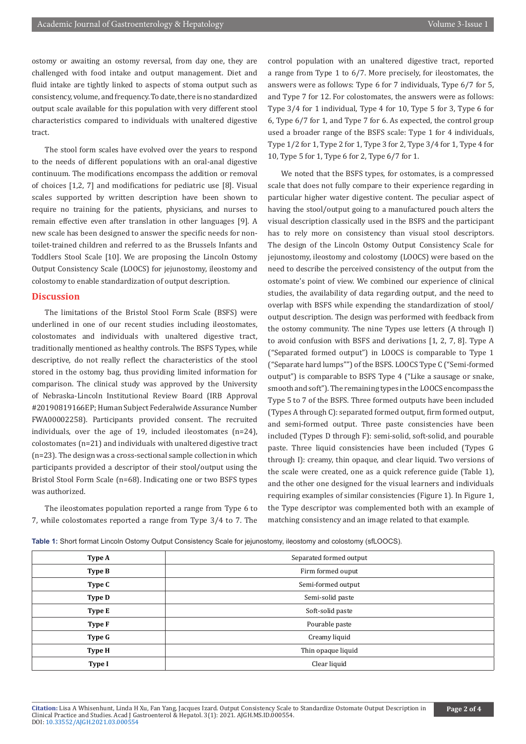ostomy or awaiting an ostomy reversal, from day one, they are challenged with food intake and output management. Diet and fluid intake are tightly linked to aspects of stoma output such as consistency, volume, and frequency. To date, there is no standardized output scale available for this population with very different stool characteristics compared to individuals with unaltered digestive tract.

The stool form scales have evolved over the years to respond to the needs of different populations with an oral-anal digestive continuum. The modifications encompass the addition or removal of choices [1,2, 7] and modifications for pediatric use [8]. Visual scales supported by written description have been shown to require no training for the patients, physicians, and nurses to remain effective even after translation in other languages [9]. A new scale has been designed to answer the specific needs for nontoilet-trained children and referred to as the Brussels Infants and Toddlers Stool Scale [10]. We are proposing the Lincoln Ostomy Output Consistency Scale (LOOCS) for jejunostomy, ileostomy and colostomy to enable standardization of output description.

#### **Discussion**

The limitations of the Bristol Stool Form Scale (BSFS) were underlined in one of our recent studies including ileostomates, colostomates and individuals with unaltered digestive tract, traditionally mentioned as healthy controls. The BSFS Types, while descriptive, do not really reflect the characteristics of the stool stored in the ostomy bag, thus providing limited information for comparison. The clinical study was approved by the University of Nebraska-Lincoln Institutional Review Board (IRB Approval #20190819166EP; Human Subject Federalwide Assurance Number FWA00002258). Participants provided consent. The recruited individuals, over the age of 19, included ileostomates (n=24), colostomates (n=21) and individuals with unaltered digestive tract (n=23). The design was a cross-sectional sample collection in which participants provided a descriptor of their stool/output using the Bristol Stool Form Scale (n=68). Indicating one or two BSFS types was authorized.

The ileostomates population reported a range from Type 6 to 7, while colostomates reported a range from Type 3/4 to 7. The control population with an unaltered digestive tract, reported a range from Type 1 to 6/7. More precisely, for ileostomates, the answers were as follows: Type 6 for 7 individuals, Type 6/7 for 5, and Type 7 for 12. For colostomates, the answers were as follows: Type 3/4 for 1 individual, Type 4 for 10, Type 5 for 3, Type 6 for 6, Type 6/7 for 1, and Type 7 for 6. As expected, the control group used a broader range of the BSFS scale: Type 1 for 4 individuals, Type 1/2 for 1, Type 2 for 1, Type 3 for 2, Type 3/4 for 1, Type 4 for 10, Type 5 for 1, Type 6 for 2, Type 6/7 for 1.

We noted that the BSFS types, for ostomates, is a compressed scale that does not fully compare to their experience regarding in particular higher water digestive content. The peculiar aspect of having the stool/output going to a manufactured pouch alters the visual description classically used in the BSFS and the participant has to rely more on consistency than visual stool descriptors. The design of the Lincoln Ostomy Output Consistency Scale for jejunostomy, ileostomy and colostomy (LOOCS) were based on the need to describe the perceived consistency of the output from the ostomate's point of view. We combined our experience of clinical studies, the availability of data regarding output, and the need to overlap with BSFS while expending the standardization of stool/ output description. The design was performed with feedback from the ostomy community. The nine Types use letters (A through I) to avoid confusion with BSFS and derivations [1, 2, 7, 8]. Type A ("Separated formed output") in LOOCS is comparable to Type 1 ("Separate hard lumps"") of the BSFS. LOOCS Type C ("Semi-formed output") is comparable to BSFS Type 4 ("Like a sausage or snake, smooth and soft"). The remaining types in the LOOCS encompass the Type 5 to 7 of the BSFS. Three formed outputs have been included (Types A through C): separated formed output, firm formed output, and semi-formed output. Three paste consistencies have been included (Types D through F): semi-solid, soft-solid, and pourable paste. Three liquid consistencies have been included (Types G through I): creamy, thin opaque, and clear liquid. Two versions of the scale were created, one as a quick reference guide (Table 1), and the other one designed for the visual learners and individuals requiring examples of similar consistencies (Figure 1). In Figure 1, the Type descriptor was complemented both with an example of matching consistency and an image related to that example.

**Table 1:** Short format Lincoln Ostomy Output Consistency Scale for jejunostomy, ileostomy and colostomy (sfLOOCS).

| Type A        | Separated formed output |
|---------------|-------------------------|
| Type B        | Firm formed ouput       |
| Type C        | Semi-formed output      |
| <b>Type D</b> | Semi-solid paste        |
| Type E        | Soft-solid paste        |
| Type F        | Pourable paste          |
| Type G        | Creamy liquid           |
| <b>Type H</b> | Thin opaque liquid      |
| <b>Type I</b> | Clear liquid            |
|               |                         |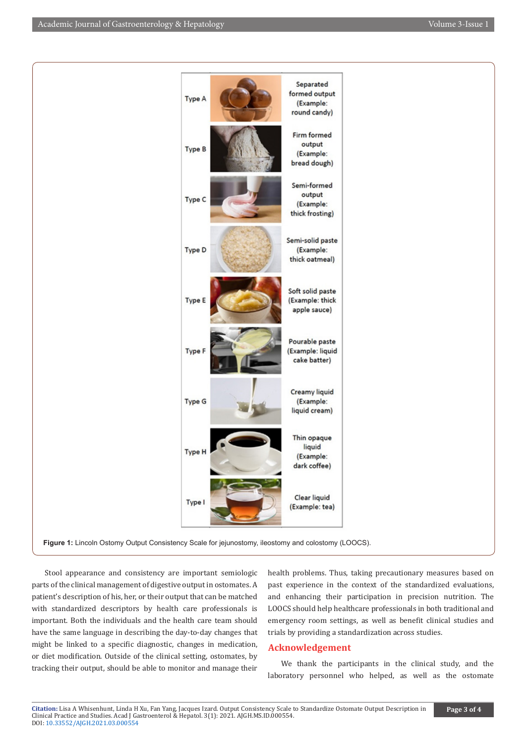

Stool appearance and consistency are important semiologic parts of the clinical management of digestive output in ostomates. A patient's description of his, her, or their output that can be matched with standardized descriptors by health care professionals is important. Both the individuals and the health care team should have the same language in describing the day-to-day changes that might be linked to a specific diagnostic, changes in medication, or diet modification. Outside of the clinical setting, ostomates, by tracking their output, should be able to monitor and manage their health problems. Thus, taking precautionary measures based on past experience in the context of the standardized evaluations, and enhancing their participation in precision nutrition. The LOOCS should help healthcare professionals in both traditional and emergency room settings, as well as benefit clinical studies and trials by providing a standardization across studies.

#### **Acknowledgement**

We thank the participants in the clinical study, and the laboratory personnel who helped, as well as the ostomate